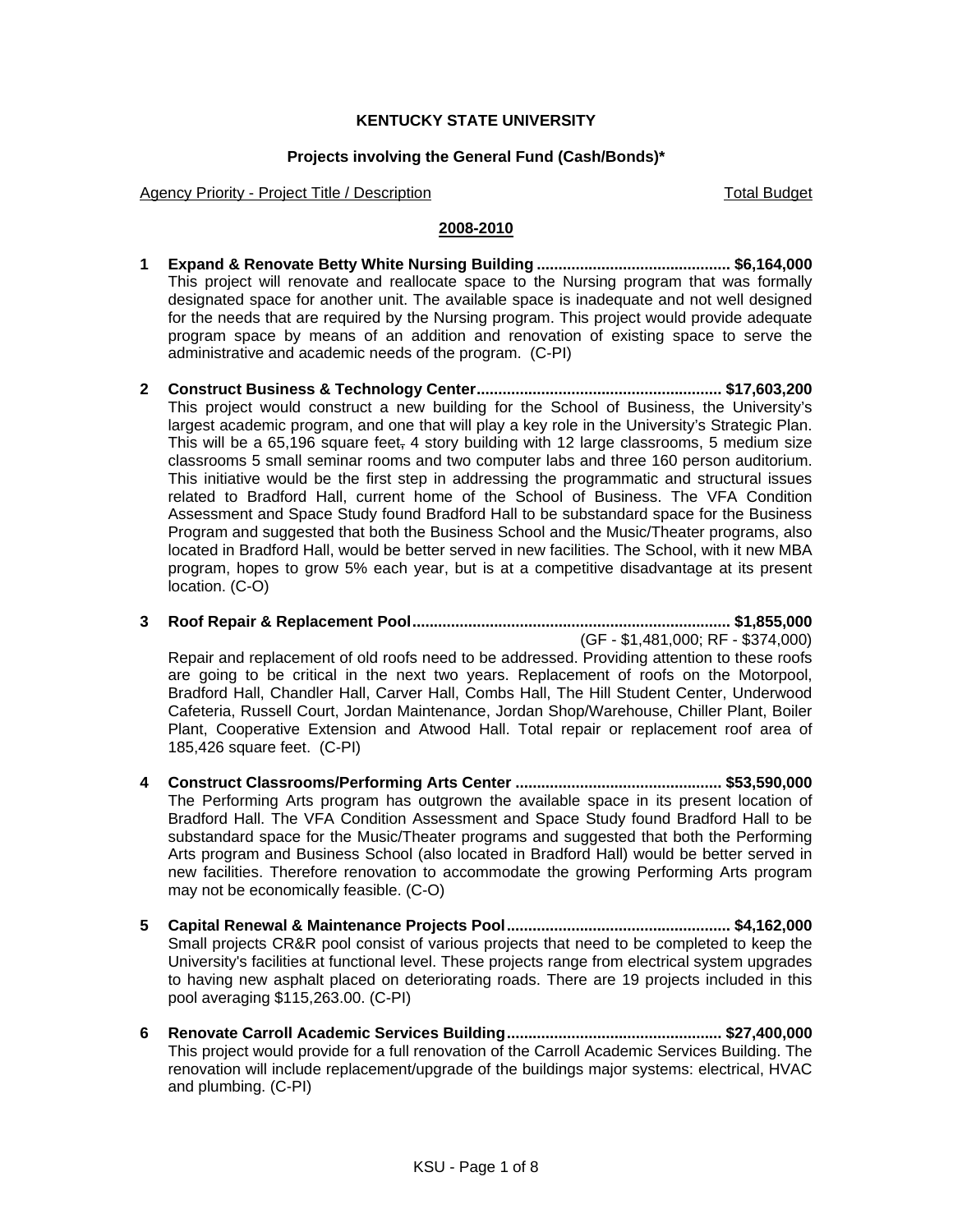## **KENTUCKY STATE UNIVERSITY**

### **Projects involving the General Fund (Cash/Bonds)\***

Agency Priority - Project Title / Description The Control of Total Budget Total Budget

### **2008-2010**

- **1 Expand & Renovate Betty White Nursing Building ............................................. \$6,164,000**  This project will renovate and reallocate space to the Nursing program that was formally designated space for another unit. The available space is inadequate and not well designed for the needs that are required by the Nursing program. This project would provide adequate program space by means of an addition and renovation of existing space to serve the administrative and academic needs of the program. (C-PI)
- **2 Construct Business & Technology Center......................................................... \$17,603,200**  This project would construct a new building for the School of Business, the University's largest academic program, and one that will play a key role in the University's Strategic Plan. This will be a 65,196 square feet, 4 story building with 12 large classrooms, 5 medium size classrooms 5 small seminar rooms and two computer labs and three 160 person auditorium. This initiative would be the first step in addressing the programmatic and structural issues related to Bradford Hall, current home of the School of Business. The VFA Condition Assessment and Space Study found Bradford Hall to be substandard space for the Business Program and suggested that both the Business School and the Music/Theater programs, also located in Bradford Hall, would be better served in new facilities. The School, with it new MBA program, hopes to grow 5% each year, but is at a competitive disadvantage at its present location. (C-O)
- **3 Roof Repair & Replacement Pool.......................................................................... \$1,855,000**  (GF - \$1,481,000; RF - \$374,000)

Repair and replacement of old roofs need to be addressed. Providing attention to these roofs are going to be critical in the next two years. Replacement of roofs on the Motorpool, Bradford Hall, Chandler Hall, Carver Hall, Combs Hall, The Hill Student Center, Underwood Cafeteria, Russell Court, Jordan Maintenance, Jordan Shop/Warehouse, Chiller Plant, Boiler Plant, Cooperative Extension and Atwood Hall. Total repair or replacement roof area of 185,426 square feet. (C-PI)

- **4 Construct Classrooms/Performing Arts Center ................................................ \$53,590,000**  The Performing Arts program has outgrown the available space in its present location of Bradford Hall. The VFA Condition Assessment and Space Study found Bradford Hall to be substandard space for the Music/Theater programs and suggested that both the Performing Arts program and Business School (also located in Bradford Hall) would be better served in new facilities. Therefore renovation to accommodate the growing Performing Arts program may not be economically feasible. (C-O)
- **5 Capital Renewal & Maintenance Projects Pool.................................................... \$4,162,000**  Small projects CR&R pool consist of various projects that need to be completed to keep the University's facilities at functional level. These projects range from electrical system upgrades to having new asphalt placed on deteriorating roads. There are 19 projects included in this pool averaging \$115,263.00. (C-PI)
- **6 Renovate Carroll Academic Services Building.................................................. \$27,400,000**  This project would provide for a full renovation of the Carroll Academic Services Building. The renovation will include replacement/upgrade of the buildings major systems: electrical, HVAC and plumbing. (C-PI)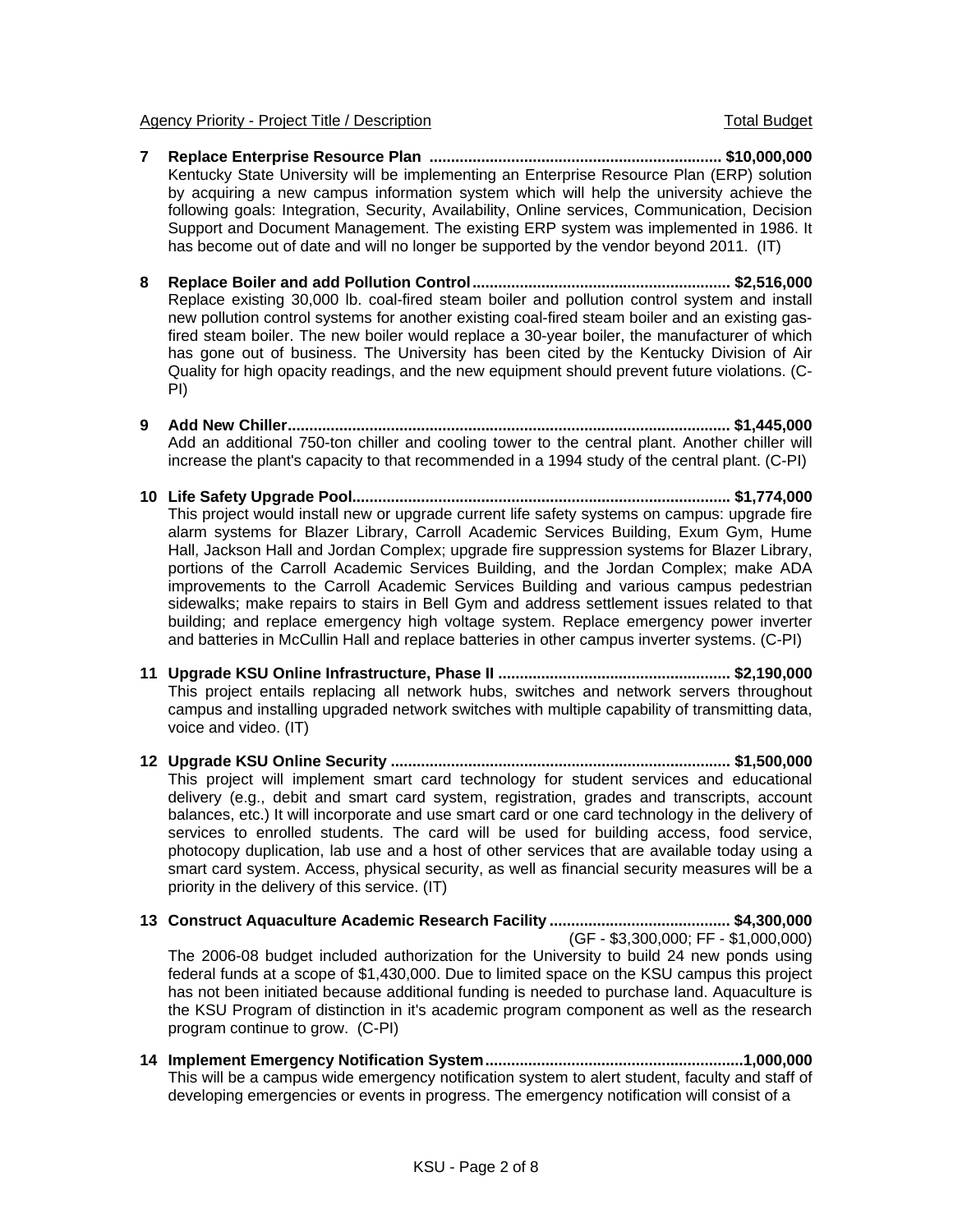- **7 Replace Enterprise Resource Plan .................................................................... \$10,000,000**  Kentucky State University will be implementing an Enterprise Resource Plan (ERP) solution by acquiring a new campus information system which will help the university achieve the following goals: Integration, Security, Availability, Online services, Communication, Decision Support and Document Management. The existing ERP system was implemented in 1986. It has become out of date and will no longer be supported by the vendor beyond 2011. (IT)
- **8 Replace Boiler and add Pollution Control............................................................ \$2,516,000**  Replace existing 30,000 lb. coal-fired steam boiler and pollution control system and install new pollution control systems for another existing coal-fired steam boiler and an existing gasfired steam boiler. The new boiler would replace a 30-year boiler, the manufacturer of which has gone out of business. The University has been cited by the Kentucky Division of Air Quality for high opacity readings, and the new equipment should prevent future violations. (C-PI)
- **9 Add New Chiller....................................................................................................... \$1,445,000**  Add an additional 750-ton chiller and cooling tower to the central plant. Another chiller will increase the plant's capacity to that recommended in a 1994 study of the central plant. (C-PI)
- **10 Life Safety Upgrade Pool........................................................................................ \$1,774,000**  This project would install new or upgrade current life safety systems on campus: upgrade fire alarm systems for Blazer Library, Carroll Academic Services Building, Exum Gym, Hume Hall, Jackson Hall and Jordan Complex; upgrade fire suppression systems for Blazer Library, portions of the Carroll Academic Services Building, and the Jordan Complex; make ADA improvements to the Carroll Academic Services Building and various campus pedestrian sidewalks; make repairs to stairs in Bell Gym and address settlement issues related to that building; and replace emergency high voltage system. Replace emergency power inverter and batteries in McCullin Hall and replace batteries in other campus inverter systems. (C-PI)
- **11 Upgrade KSU Online Infrastructure, Phase II ...................................................... \$2,190,000**  This project entails replacing all network hubs, switches and network servers throughout campus and installing upgraded network switches with multiple capability of transmitting data, voice and video. (IT)
- **12 Upgrade KSU Online Security ............................................................................... \$1,500,000**  This project will implement smart card technology for student services and educational delivery (e.g., debit and smart card system, registration, grades and transcripts, account balances, etc.) It will incorporate and use smart card or one card technology in the delivery of services to enrolled students. The card will be used for building access, food service, photocopy duplication, lab use and a host of other services that are available today using a smart card system. Access, physical security, as well as financial security measures will be a priority in the delivery of this service. (IT)
- **13 Construct Aquaculture Academic Research Facility .......................................... \$4,300,000**  (GF - \$3,300,000; FF - \$1,000,000) The 2006-08 budget included authorization for the University to build 24 new ponds using federal funds at a scope of \$1,430,000. Due to limited space on the KSU campus this project has not been initiated because additional funding is needed to purchase land. Aquaculture is the KSU Program of distinction in it's academic program component as well as the research program continue to grow. (C-PI)
- **14 Implement Emergency Notification System............................................................1,000,000**  This will be a campus wide emergency notification system to alert student, faculty and staff of developing emergencies or events in progress. The emergency notification will consist of a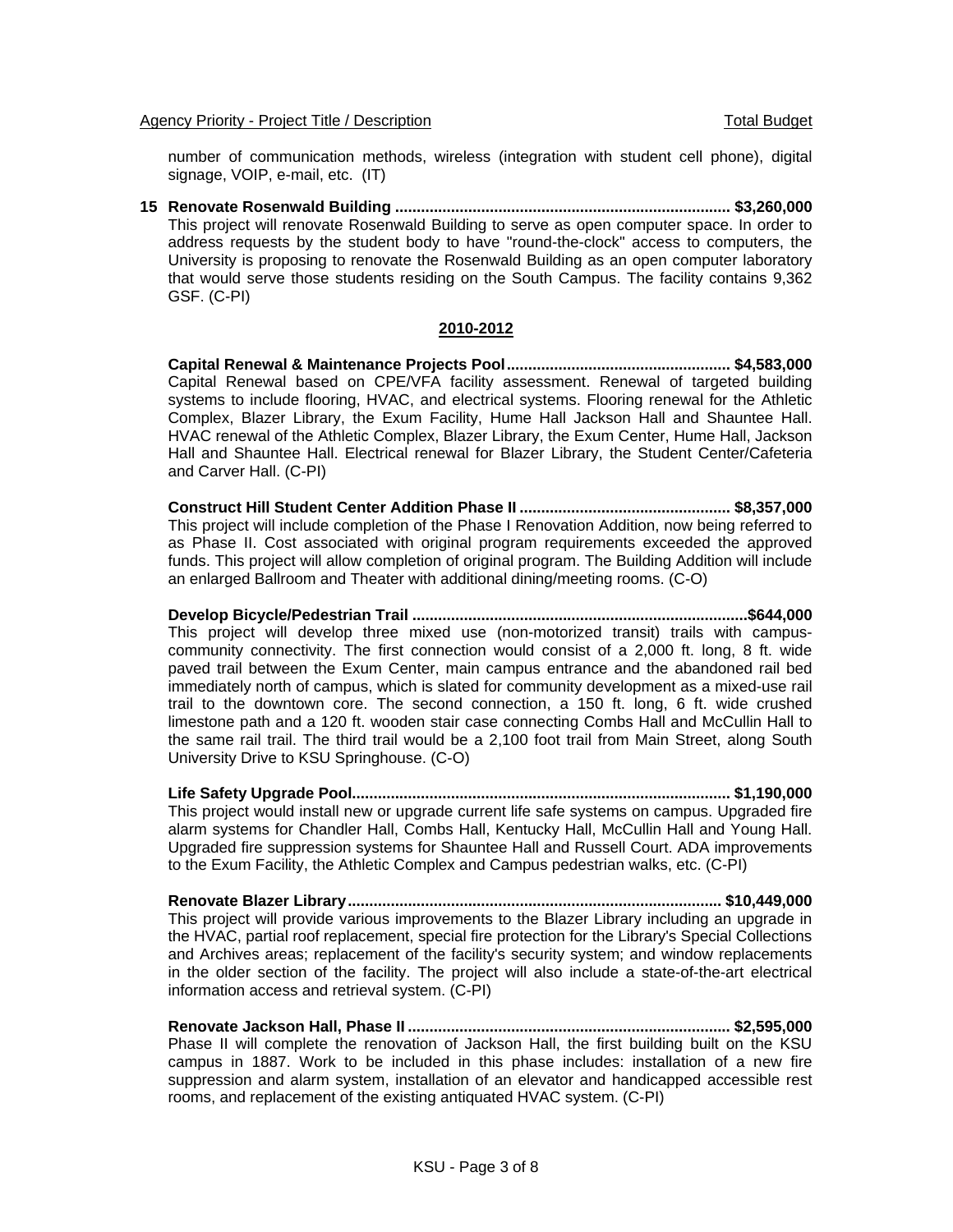number of communication methods, wireless (integration with student cell phone), digital signage, VOIP, e-mail, etc. (IT)

**15 Renovate Rosenwald Building .............................................................................. \$3,260,000**  This project will renovate Rosenwald Building to serve as open computer space. In order to address requests by the student body to have "round-the-clock" access to computers, the University is proposing to renovate the Rosenwald Building as an open computer laboratory that would serve those students residing on the South Campus. The facility contains 9,362 GSF. (C-PI)

### **2010-2012**

**Capital Renewal & Maintenance Projects Pool.................................................... \$4,583,000**  Capital Renewal based on CPE/VFA facility assessment. Renewal of targeted building systems to include flooring, HVAC, and electrical systems. Flooring renewal for the Athletic Complex, Blazer Library, the Exum Facility, Hume Hall Jackson Hall and Shauntee Hall. HVAC renewal of the Athletic Complex, Blazer Library, the Exum Center, Hume Hall, Jackson Hall and Shauntee Hall. Electrical renewal for Blazer Library, the Student Center/Cafeteria and Carver Hall. (C-PI)

**Construct Hill Student Center Addition Phase II ................................................. \$8,357,000**  This project will include completion of the Phase I Renovation Addition, now being referred to as Phase II. Cost associated with original program requirements exceeded the approved funds. This project will allow completion of original program. The Building Addition will include an enlarged Ballroom and Theater with additional dining/meeting rooms. (C-O)

 **Develop Bicycle/Pedestrian Trail ..............................................................................\$644,000**  This project will develop three mixed use (non-motorized transit) trails with campuscommunity connectivity. The first connection would consist of a 2,000 ft. long, 8 ft. wide paved trail between the Exum Center, main campus entrance and the abandoned rail bed immediately north of campus, which is slated for community development as a mixed-use rail trail to the downtown core. The second connection, a 150 ft. long, 6 ft. wide crushed limestone path and a 120 ft. wooden stair case connecting Combs Hall and McCullin Hall to the same rail trail. The third trail would be a 2,100 foot trail from Main Street, along South University Drive to KSU Springhouse. (C-O)

**Life Safety Upgrade Pool........................................................................................ \$1,190,000**  This project would install new or upgrade current life safe systems on campus. Upgraded fire alarm systems for Chandler Hall, Combs Hall, Kentucky Hall, McCullin Hall and Young Hall. Upgraded fire suppression systems for Shauntee Hall and Russell Court. ADA improvements to the Exum Facility, the Athletic Complex and Campus pedestrian walks, etc. (C-PI)

 **Renovate Blazer Library....................................................................................... \$10,449,000**  This project will provide various improvements to the Blazer Library including an upgrade in the HVAC, partial roof replacement, special fire protection for the Library's Special Collections and Archives areas; replacement of the facility's security system; and window replacements in the older section of the facility. The project will also include a state-of-the-art electrical information access and retrieval system. (C-PI)

 **Renovate Jackson Hall, Phase II ........................................................................... \$2,595,000**  Phase II will complete the renovation of Jackson Hall, the first building built on the KSU campus in 1887. Work to be included in this phase includes: installation of a new fire suppression and alarm system, installation of an elevator and handicapped accessible rest rooms, and replacement of the existing antiquated HVAC system. (C-PI)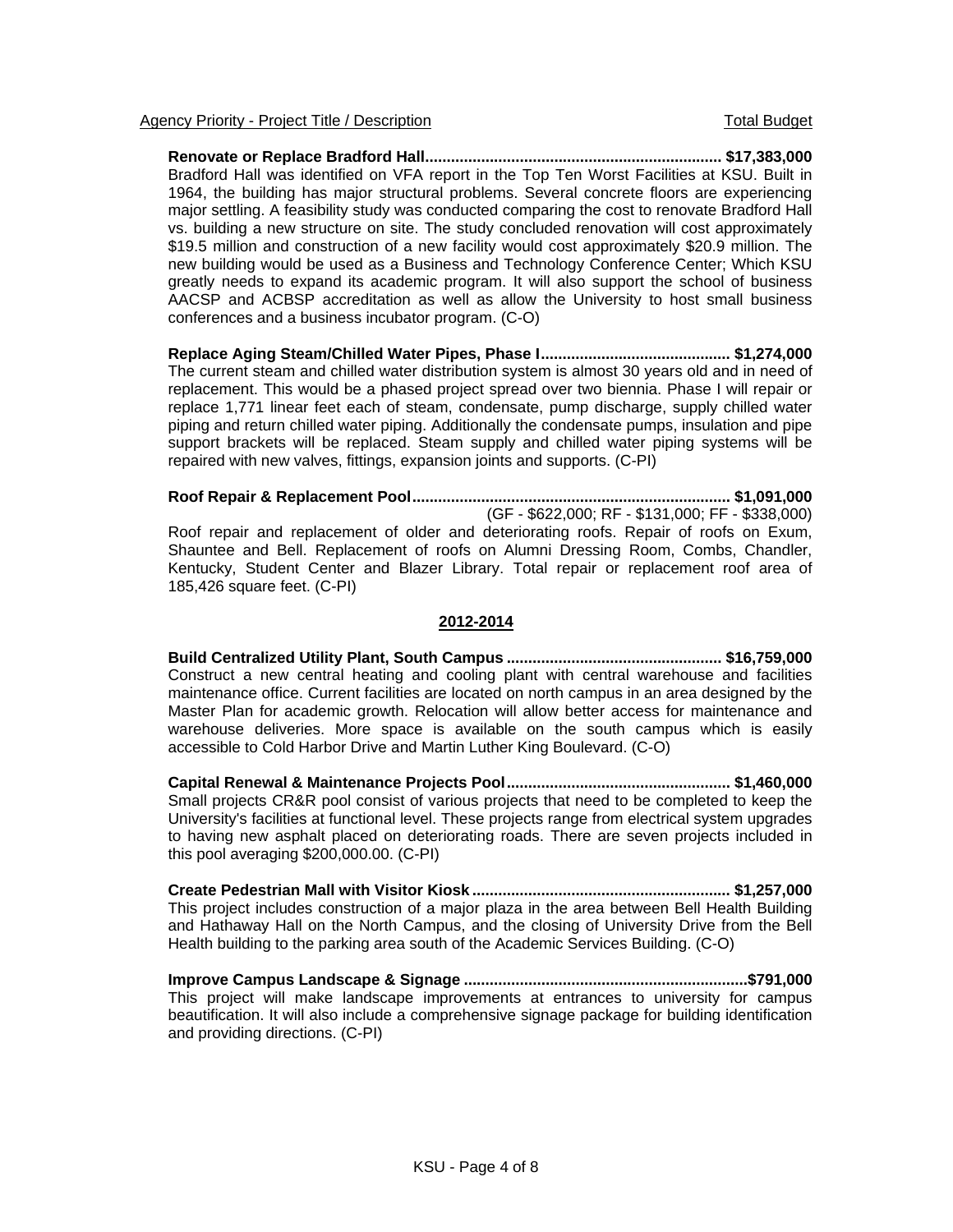**Renovate or Replace Bradford Hall..................................................................... \$17,383,000**  Bradford Hall was identified on VFA report in the Top Ten Worst Facilities at KSU. Built in 1964, the building has major structural problems. Several concrete floors are experiencing major settling. A feasibility study was conducted comparing the cost to renovate Bradford Hall vs. building a new structure on site. The study concluded renovation will cost approximately \$19.5 million and construction of a new facility would cost approximately \$20.9 million. The new building would be used as a Business and Technology Conference Center; Which KSU greatly needs to expand its academic program. It will also support the school of business AACSP and ACBSP accreditation as well as allow the University to host small business conferences and a business incubator program. (C-O)

**Replace Aging Steam/Chilled Water Pipes, Phase I............................................ \$1,274,000**  The current steam and chilled water distribution system is almost 30 years old and in need of replacement. This would be a phased project spread over two biennia. Phase I will repair or replace 1,771 linear feet each of steam, condensate, pump discharge, supply chilled water piping and return chilled water piping. Additionally the condensate pumps, insulation and pipe support brackets will be replaced. Steam supply and chilled water piping systems will be repaired with new valves, fittings, expansion joints and supports. (C-PI)

**Roof Repair & Replacement Pool.......................................................................... \$1,091,000**  (GF - \$622,000; RF - \$131,000; FF - \$338,000) Roof repair and replacement of older and deteriorating roofs. Repair of roofs on Exum, Shauntee and Bell. Replacement of roofs on Alumni Dressing Room, Combs, Chandler, Kentucky, Student Center and Blazer Library. Total repair or replacement roof area of 185,426 square feet. (C-PI)

### **2012-2014**

**Build Centralized Utility Plant, South Campus .................................................. \$16,759,000**  Construct a new central heating and cooling plant with central warehouse and facilities maintenance office. Current facilities are located on north campus in an area designed by the Master Plan for academic growth. Relocation will allow better access for maintenance and warehouse deliveries. More space is available on the south campus which is easily accessible to Cold Harbor Drive and Martin Luther King Boulevard. (C-O)

**Capital Renewal & Maintenance Projects Pool.................................................... \$1,460,000**  Small projects CR&R pool consist of various projects that need to be completed to keep the University's facilities at functional level. These projects range from electrical system upgrades to having new asphalt placed on deteriorating roads. There are seven projects included in this pool averaging \$200,000.00. (C-PI)

**Create Pedestrian Mall with Visitor Kiosk ............................................................ \$1,257,000**  This project includes construction of a major plaza in the area between Bell Health Building and Hathaway Hall on the North Campus, and the closing of University Drive from the Bell Health building to the parking area south of the Academic Services Building. (C-O)

**Improve Campus Landscape & Signage ..................................................................\$791,000**  This project will make landscape improvements at entrances to university for campus beautification. It will also include a comprehensive signage package for building identification and providing directions. (C-PI)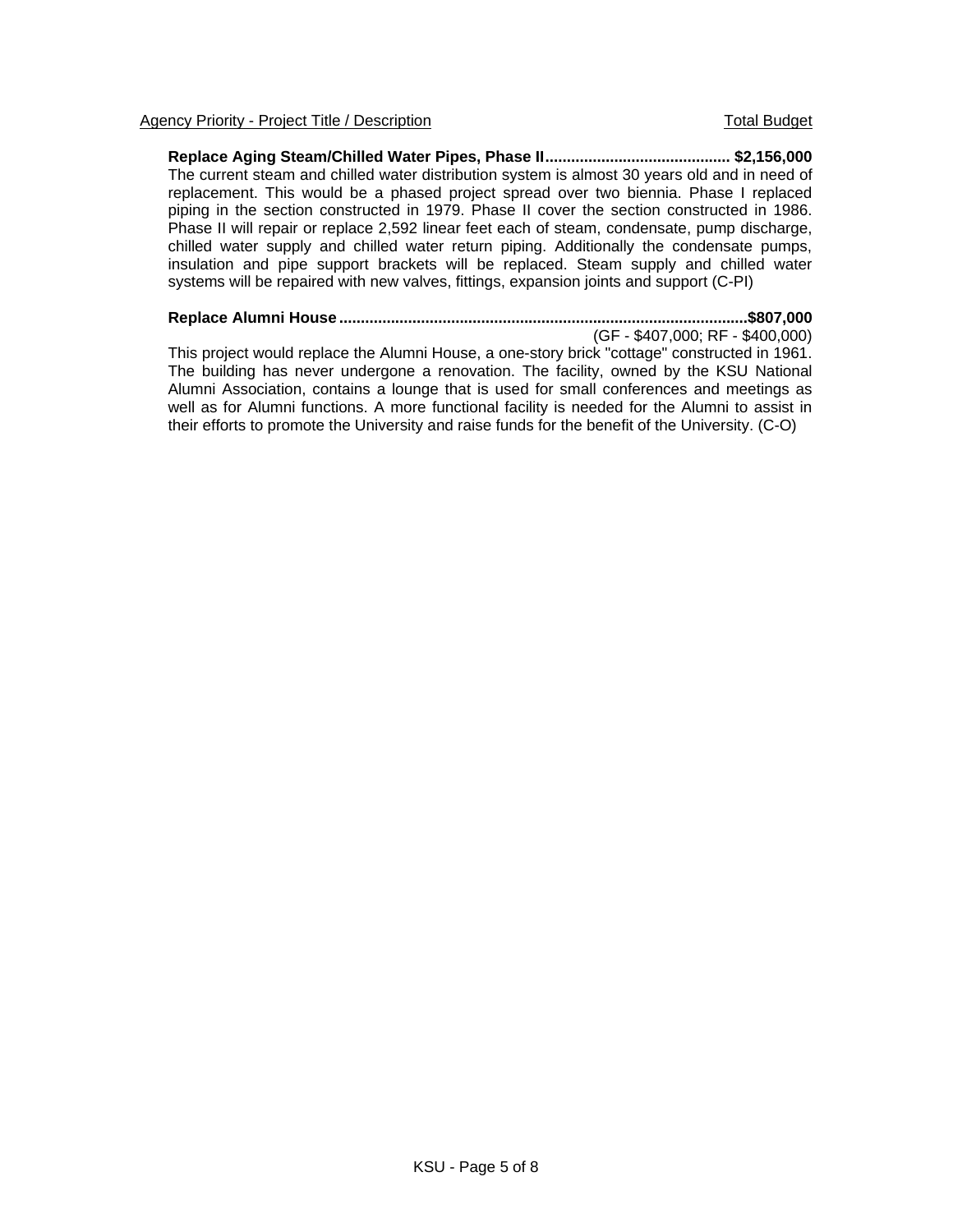**Replace Aging Steam/Chilled Water Pipes, Phase II........................................... \$2,156,000**  The current steam and chilled water distribution system is almost 30 years old and in need of replacement. This would be a phased project spread over two biennia. Phase I replaced piping in the section constructed in 1979. Phase II cover the section constructed in 1986. Phase II will repair or replace 2,592 linear feet each of steam, condensate, pump discharge, chilled water supply and chilled water return piping. Additionally the condensate pumps, insulation and pipe support brackets will be replaced. Steam supply and chilled water systems will be repaired with new valves, fittings, expansion joints and support (C-PI)

#### **Replace Alumni House ...............................................................................................\$807,000**

(GF - \$407,000; RF - \$400,000)

This project would replace the Alumni House, a one-story brick "cottage" constructed in 1961. The building has never undergone a renovation. The facility, owned by the KSU National Alumni Association, contains a lounge that is used for small conferences and meetings as well as for Alumni functions. A more functional facility is needed for the Alumni to assist in their efforts to promote the University and raise funds for the benefit of the University. (C-O)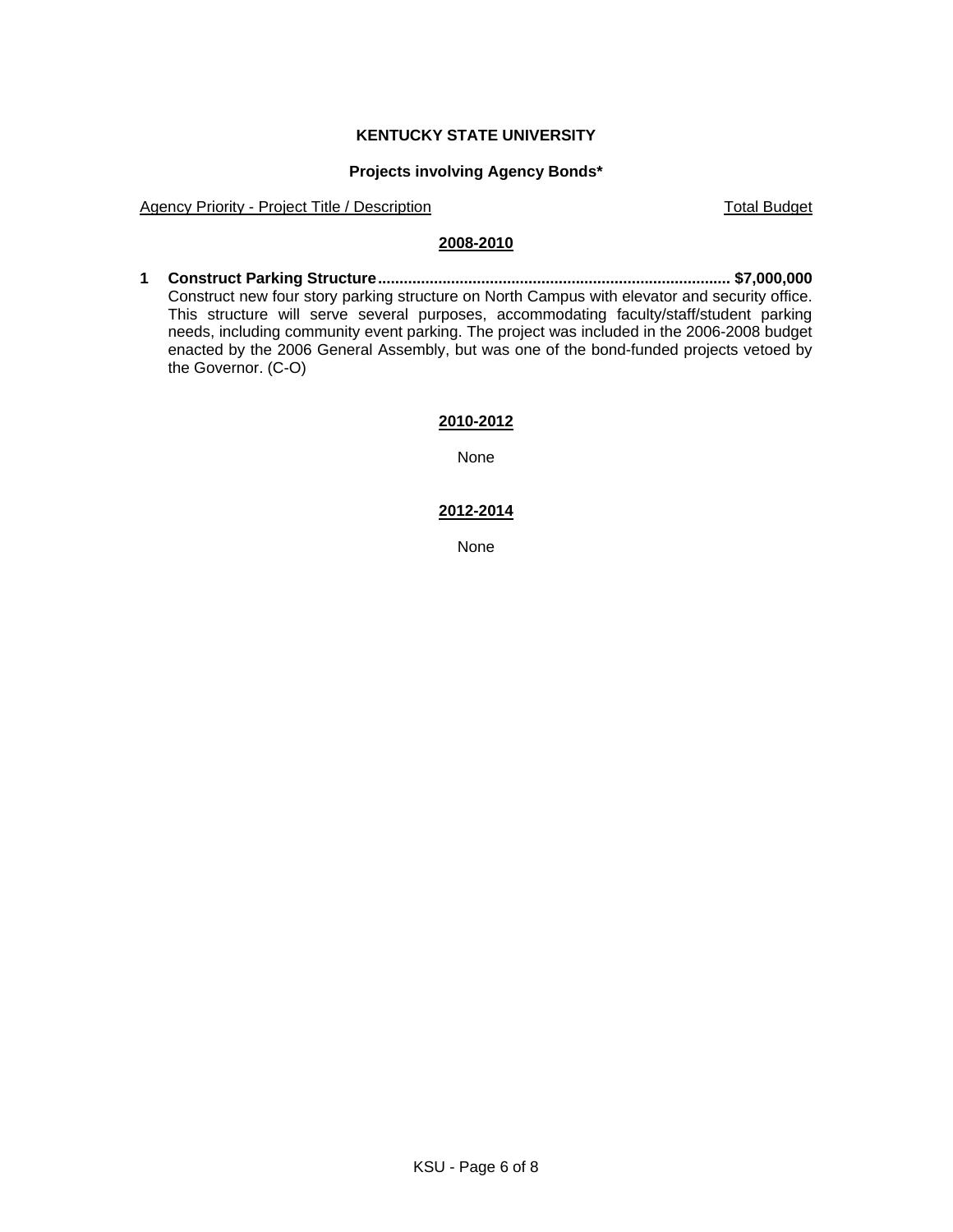# **KENTUCKY STATE UNIVERSITY**

## **Projects involving Agency Bonds\***

Agency Priority - Project Title / Description Total Budget

# **2008-2010**

**1 Construct Parking Structure.................................................................................. \$7,000,000**  Construct new four story parking structure on North Campus with elevator and security office. This structure will serve several purposes, accommodating faculty/staff/student parking needs, including community event parking. The project was included in the 2006-2008 budget enacted by the 2006 General Assembly, but was one of the bond-funded projects vetoed by the Governor. (C-O)

### **2010-2012**

None

### **2012-2014**

None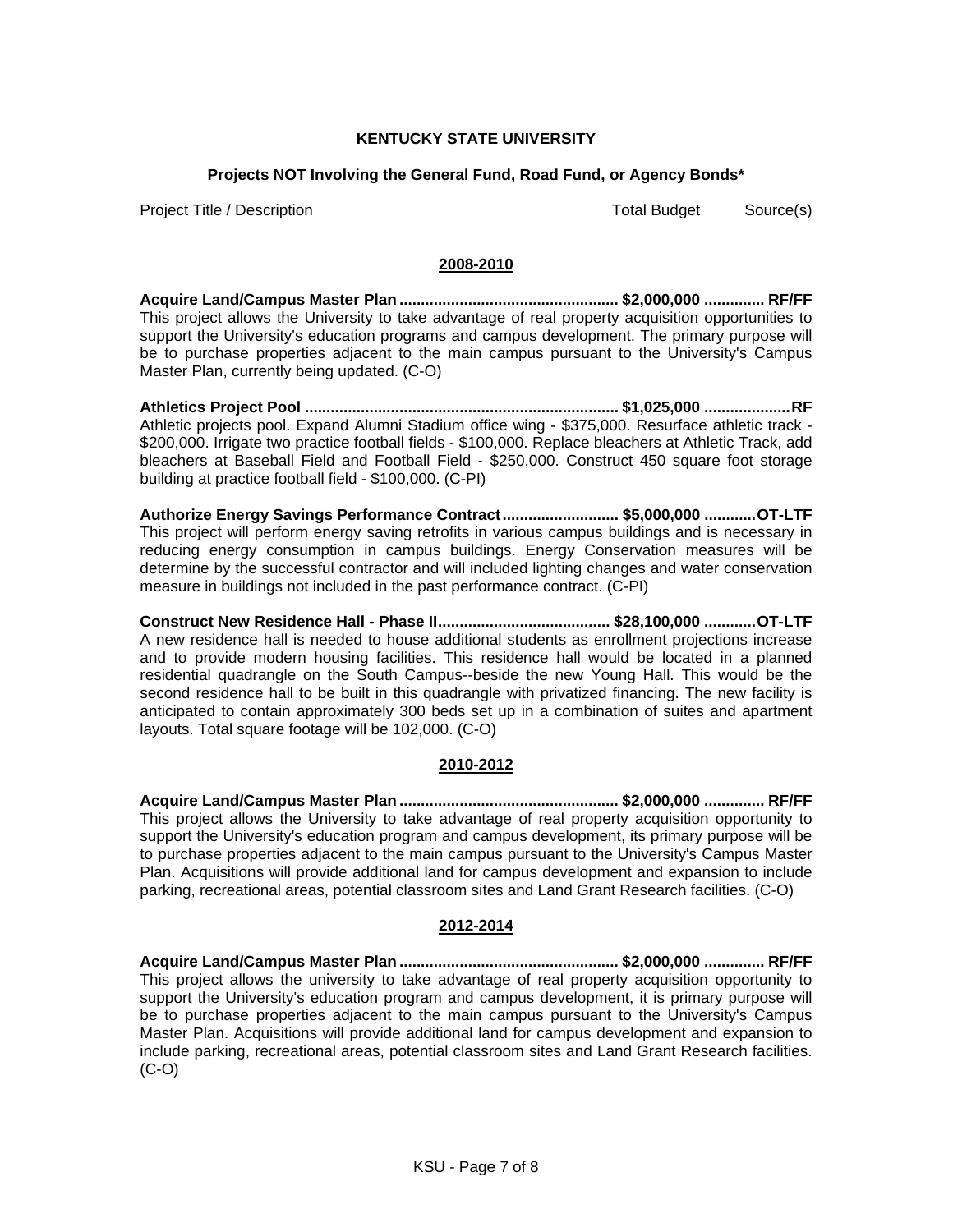# **KENTUCKY STATE UNIVERSITY**

# **Projects NOT Involving the General Fund, Road Fund, or Agency Bonds\***

Project Title / Description Total Budget Source(s)

### **2008-2010**

**Acquire Land/Campus Master Plan ................................................... \$2,000,000 .............. RF/FF**  This project allows the University to take advantage of real property acquisition opportunities to support the University's education programs and campus development. The primary purpose will be to purchase properties adjacent to the main campus pursuant to the University's Campus Master Plan, currently being updated. (C-O)

**Athletics Project Pool ......................................................................... \$1,025,000 ....................RF** Athletic projects pool. Expand Alumni Stadium office wing - \$375,000. Resurface athletic track - \$200,000. Irrigate two practice football fields - \$100,000. Replace bleachers at Athletic Track, add bleachers at Baseball Field and Football Field - \$250,000. Construct 450 square foot storage building at practice football field - \$100,000. (C-PI)

**Authorize Energy Savings Performance Contract........................... \$5,000,000 ............OT-LTF** This project will perform energy saving retrofits in various campus buildings and is necessary in reducing energy consumption in campus buildings. Energy Conservation measures will be determine by the successful contractor and will included lighting changes and water conservation measure in buildings not included in the past performance contract. (C-PI)

**Construct New Residence Hall - Phase II........................................ \$28,100,000 ............OT-LTF** A new residence hall is needed to house additional students as enrollment projections increase and to provide modern housing facilities. This residence hall would be located in a planned residential quadrangle on the South Campus--beside the new Young Hall. This would be the second residence hall to be built in this quadrangle with privatized financing. The new facility is anticipated to contain approximately 300 beds set up in a combination of suites and apartment layouts. Total square footage will be 102,000. (C-O)

### **2010-2012**

**Acquire Land/Campus Master Plan ................................................... \$2,000,000 .............. RF/FF**  This project allows the University to take advantage of real property acquisition opportunity to support the University's education program and campus development, its primary purpose will be to purchase properties adjacent to the main campus pursuant to the University's Campus Master Plan. Acquisitions will provide additional land for campus development and expansion to include parking, recreational areas, potential classroom sites and Land Grant Research facilities. (C-O)

### **2012-2014**

**Acquire Land/Campus Master Plan ................................................... \$2,000,000 .............. RF/FF**  This project allows the university to take advantage of real property acquisition opportunity to support the University's education program and campus development, it is primary purpose will be to purchase properties adjacent to the main campus pursuant to the University's Campus Master Plan. Acquisitions will provide additional land for campus development and expansion to include parking, recreational areas, potential classroom sites and Land Grant Research facilities. (C-O)